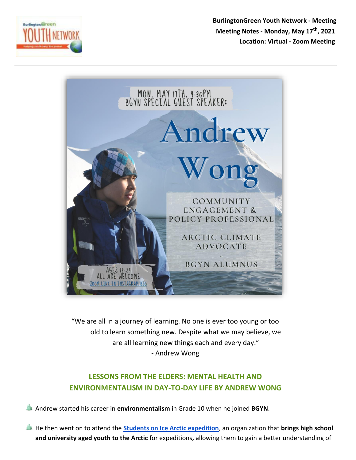

**BurlingtonGreen Youth Network - Meeting Meeting Notes - Monday, May 17th, 2021 Location: Virtual - Zoom Meeting** 



"We are all in a journey of learning. No one is ever too young or too old to learn something new. Despite what we may believe, we are all learning new things each and every day." - Andrew Wong

## **LESSONS FROM THE ELDERS: MENTAL HEALTH AND ENVIRONMENTALISM IN DAY-TO-DAY LIFE BY ANDREW WONG**

Andrew started his career in **environmentalism** in Grade 10 when he joined **BGYN**.

He then went on to attend the **[Students on Ice Arctic expedition](https://studentsonice.com/)**, an organization that **brings high school and university aged youth to the Arctic** for expeditions**,** allowing them to gain a better understanding of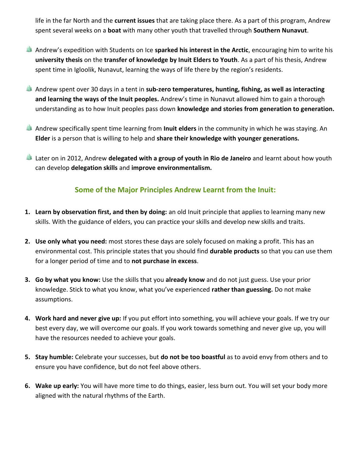life in the far North and the **current issues** that are taking place there. As a part of this program, Andrew spent several weeks on a **boat** with many other youth that travelled through **Southern Nunavut**.

- Andrew's expedition with Students on Ice **sparked his interest in the Arctic**, encouraging him to write his **university thesis** on the **transfer of knowledge by Inuit Elders to Youth**. As a part of his thesis, Andrew spent time in Igloolik, Nunavut, learning the ways of life there by the region's residents.
- Andrew spent over 30 days in a tent in **sub-zero temperatures, hunting, fishing, as well as interacting and learning the ways of the Inuit peoples.** Andrew's time in Nunavut allowed him to gain a thorough understanding as to how Inuit peoples pass down **knowledge and stories from generation to generation.**
- Andrew specifically spent time learning from **Inuit elders** in the community in which he was staying. An **Elder** is a person that is willing to help and **share their knowledge with younger generations.**
- Later on in 2012, Andrew **delegated with a group of youth in Rio de Janeiro** and learnt about how youth can develop **delegation skills** and **improve environmentalism.**

## **Some of the Major Principles Andrew Learnt from the Inuit:**

- **1. Learn by observation first, and then by doing:** an old Inuit principle that applies to learning many new skills. With the guidance of elders, you can practice your skills and develop new skills and traits.
- **2. Use only what you need:** most stores these days are solely focused on making a profit. This has an environmental cost. This principle states that you should find **durable products** so that you can use them for a longer period of time and to **not purchase in excess**.
- **3. Go by what you know:** Use the skills that you **already know** and do not just guess. Use your prior knowledge. Stick to what you know, what you've experienced **rather than guessing.** Do not make assumptions.
- **4. Work hard and never give up:** If you put effort into something, you will achieve your goals. If we try our best every day, we will overcome our goals. If you work towards something and never give up, you will have the resources needed to achieve your goals.
- **5. Stay humble:** Celebrate your successes, but **do not be too boastful** as to avoid envy from others and to ensure you have confidence, but do not feel above others.
- **6. Wake up early:** You will have more time to do things, easier, less burn out. You will set your body more aligned with the natural rhythms of the Earth.